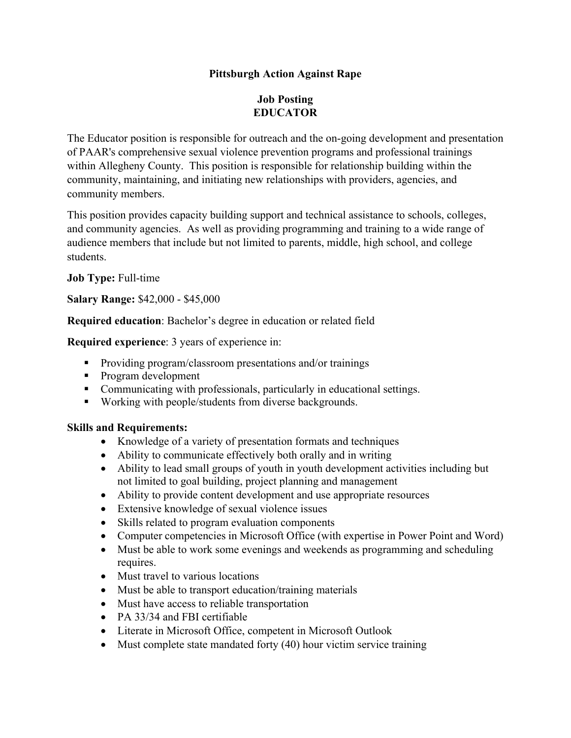## **Pittsburgh Action Against Rape**

## **Job Posting EDUCATOR**

The Educator position is responsible for outreach and the on-going development and presentation of PAAR's comprehensive sexual violence prevention programs and professional trainings within Allegheny County. This position is responsible for relationship building within the community, maintaining, and initiating new relationships with providers, agencies, and community members.

This position provides capacity building support and technical assistance to schools, colleges, and community agencies. As well as providing programming and training to a wide range of audience members that include but not limited to parents, middle, high school, and college students.

**Job Type:** Full-time

**Salary Range:** \$42,000 - \$45,000

**Required education**: Bachelor's degree in education or related field

**Required experience**: 3 years of experience in:

- **Providing program/classroom presentations and/or trainings**
- **Program development**
- Communicating with professionals, particularly in educational settings.
- **Working with people/students from diverse backgrounds.**

#### **Skills and Requirements:**

- Knowledge of a variety of presentation formats and techniques
- Ability to communicate effectively both orally and in writing
- Ability to lead small groups of youth in youth development activities including but not limited to goal building, project planning and management
- Ability to provide content development and use appropriate resources
- Extensive knowledge of sexual violence issues
- Skills related to program evaluation components
- Computer competencies in Microsoft Office (with expertise in Power Point and Word)
- Must be able to work some evenings and weekends as programming and scheduling requires.
- Must travel to various locations
- Must be able to transport education/training materials
- Must have access to reliable transportation
- PA 33/34 and FBI certifiable
- Literate in Microsoft Office, competent in Microsoft Outlook
- Must complete state mandated forty (40) hour victim service training